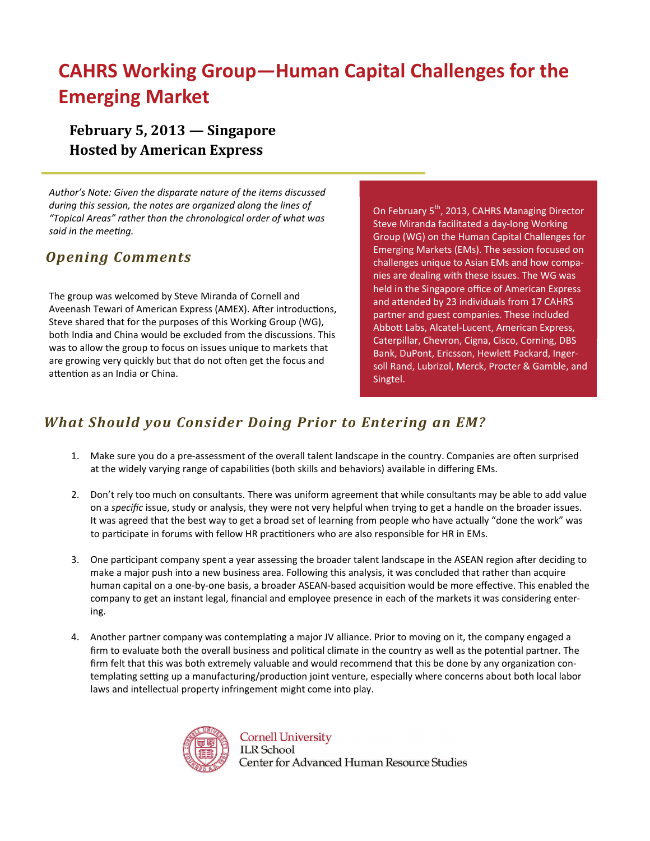# **CAHRS Working Group—Human Capital Challenges for the Emerging Market**

**February 5, 2013 — Singapore Hosted by American Express**

*Author's Note: Given the disparate nature of the items discussed during this session, the notes are organized along the lines of "Topical Areas" rather than the chronological order of what was said in the meeƟng.*

### *Opening Comments*

The group was welcomed by Steve Miranda of Cornell and Aveenash Tewari of American Express (AMEX). After introductions, Steve shared that for the purposes of this Working Group (WG), both India and China would be excluded from the discussions. This was to allow the group to focus on issues unique to markets that are growing very quickly but that do not often get the focus and attention as an India or China.

On February 5<sup>th</sup>, 2013, CAHRS Managing Director Steve Miranda facilitated a day‐long Working Group (WG) on the Human Capital Challenges for Emerging Markets (EMs). The session focused on challenges unique to Asian EMs and how compa‐ nies are dealing with these issues. The WG was held in the Singapore office of American Express and attended by 23 individuals from 17 CAHRS partner and guest companies. These included AbboƩ Labs, Alcatel‐Lucent, American Express, Caterpillar, Chevron, Cigna, Cisco, Corning, DBS Bank, DuPont, Ericsson, Hewlett Packard, Ingersoll Rand, Lubrizol, Merck, Procter & Gamble, and Singtel.

### *What Should you Consider Doing Prior to Entering an EM?*

- 1. Make sure you do a pre-assessment of the overall talent landscape in the country. Companies are often surprised at the widely varying range of capabilities (both skills and behaviors) available in differing EMs.
- 2. Don't rely too much on consultants. There was uniform agreement that while consultants may be able to add value on a *specific* issue, study or analysis, they were not very helpful when trying to get a handle on the broader issues. It was agreed that the best way to get a broad set of learning from people who have actually "done the work" was to participate in forums with fellow HR practitioners who are also responsible for HR in EMs.
- 3. One participant company spent a year assessing the broader talent landscape in the ASEAN region after deciding to make a major push into a new business area. Following this analysis, it was concluded that rather than acquire human capital on a one-by-one basis, a broader ASEAN-based acquisition would be more effective. This enabled the company to get an instant legal, financial and employee presence in each of the markets it was considering enter‐ ing.
- 4. Another partner company was contemplating a major JV alliance. Prior to moving on it, the company engaged a firm to evaluate both the overall business and political climate in the country as well as the potential partner. The firm felt that this was both extremely valuable and would recommend that this be done by any organization contemplating setting up a manufacturing/production joint venture, especially where concerns about both local labor laws and intellectual property infringement might come into play.



**Cornell University ILR** School Center for Advanced Human Resource Studies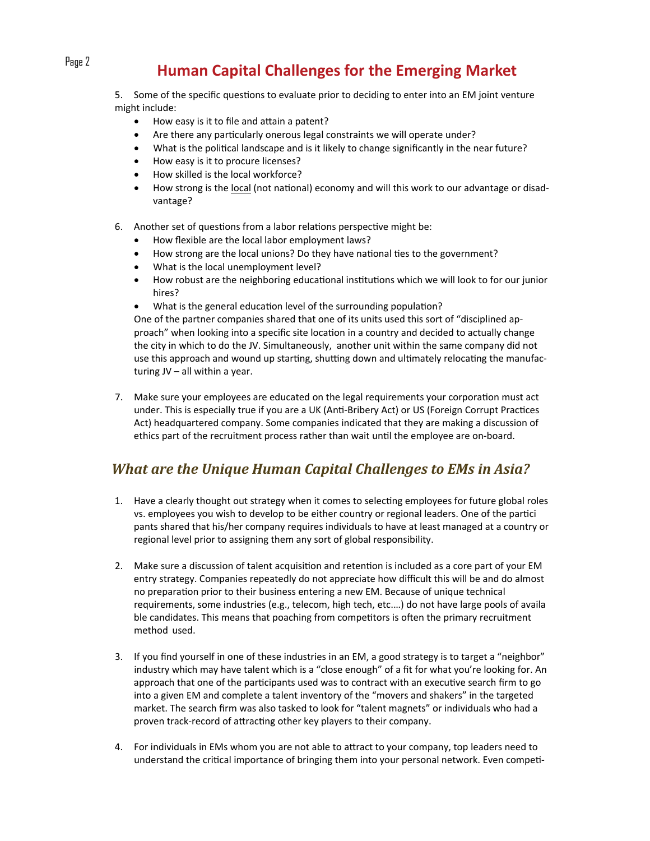# Page 2 **Human Capital Challenges for the Emerging Market**

5. Some of the specific questions to evaluate prior to deciding to enter into an EM joint venture might include:

- How easy is it to file and attain a patent?
- Are there any particularly onerous legal constraints we will operate under?
- What is the political landscape and is it likely to change significantly in the near future?
- How easy is it to procure licenses?
- How skilled is the local workforce?
- How strong is the local (not national) economy and will this work to our advantage or disadvantage?
- 6. Another set of questions from a labor relations perspective might be:
	- How flexible are the local labor employment laws?
	- How strong are the local unions? Do they have national ties to the government?
	- What is the local unemployment level?
	- How robust are the neighboring educational institutions which we will look to for our junior hires?
	- What is the general education level of the surrounding population?

One of the partner companies shared that one of its units used this sort of "disciplined ap‐ proach" when looking into a specific site location in a country and decided to actually change the city in which to do the JV. Simultaneously, another unit within the same company did not use this approach and wound up starting, shutting down and ultimately relocating the manufacturing JV – all within a year.

7. Make sure your employees are educated on the legal requirements your corporation must act under. This is especially true if you are a UK (Anti-Bribery Act) or US (Foreign Corrupt Practices Act) headquartered company. Some companies indicated that they are making a discussion of ethics part of the recruitment process rather than wait until the employee are on-board.

### *What are the Unique Human Capital Challenges to EMs in Asia?*

- 1. Have a clearly thought out strategy when it comes to selecting employees for future global roles vs. employees you wish to develop to be either country or regional leaders. One of the partici pants shared that his/her company requires individuals to have at least managed at a country or regional level prior to assigning them any sort of global responsibility.
- 2. Make sure a discussion of talent acquisition and retention is included as a core part of your EM entry strategy. Companies repeatedly do not appreciate how difficult this will be and do almost no preparaƟon prior to their business entering a new EM. Because of unique technical requirements, some industries (e.g., telecom, high tech, etc.…) do not have large pools of availa ble candidates. This means that poaching from competitors is often the primary recruitment method used.
- 3. If you find yourself in one of these industries in an EM, a good strategy is to target a "neighbor" industry which may have talent which is a "close enough" of a fit for what you're looking for. An approach that one of the participants used was to contract with an executive search firm to go into a given EM and complete a talent inventory of the "movers and shakers" in the targeted market. The search firm was also tasked to look for "talent magnets" or individuals who had a proven track-record of attracting other key players to their company.
- 4. For individuals in EMs whom you are not able to attract to your company, top leaders need to understand the critical importance of bringing them into your personal network. Even competi-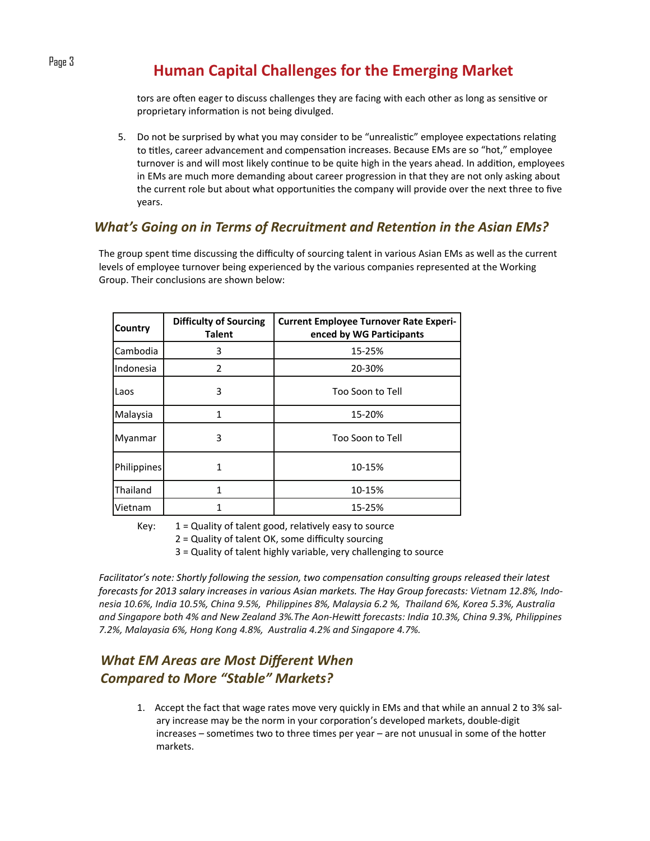# Page 3 **Human Capital Challenges for the Emerging Market**

tors are often eager to discuss challenges they are facing with each other as long as sensitive or proprietary information is not being divulged.

5. Do not be surprised by what you may consider to be "unrealistic" employee expectations relating to titles, career advancement and compensation increases. Because EMs are so "hot," employee turnover is and will most likely continue to be quite high in the years ahead. In addition, employees in EMs are much more demanding about career progression in that they are not only asking about the current role but about what opportunities the company will provide over the next three to five years.

### *What's Going on in Terms of Recruitment and Retention in the Asian EMs?*

The group spent time discussing the difficulty of sourcing talent in various Asian EMs as well as the current levels of employee turnover being experienced by the various companies represented at the Working Group. Their conclusions are shown below:

| <b>Country</b>     | <b>Difficulty of Sourcing</b><br><b>Talent</b> | <b>Current Employee Turnover Rate Experi-</b><br>enced by WG Participants |
|--------------------|------------------------------------------------|---------------------------------------------------------------------------|
| Cambodia           | 3                                              | 15-25%                                                                    |
| Indonesia          | 2                                              | 20-30%                                                                    |
| Laos               | 3                                              | Too Soon to Tell                                                          |
| Malaysia           | 1                                              | 15-20%                                                                    |
| Myanmar            | 3                                              | Too Soon to Tell                                                          |
| <b>Philippines</b> | 1                                              | 10-15%                                                                    |
| Thailand           | 1                                              | 10-15%                                                                    |
| Vietnam            |                                                | 15-25%                                                                    |

Key:  $1 =$  Quality of talent good, relatively easy to source

2 = Quality of talent OK, some difficulty sourcing

3 = Quality of talent highly variable, very challenging to source

*Facilitator's note: Shortly following the session, two compensaƟon consulƟng groups released their latest* forecasts for 2013 salary increases in various Asian markets. The Hay Group forecasts: Vietnam 12.8%, Indonesia 10.6%, India 10.5%, China 9.5%, Philippines 8%, Malaysia 6.2 %, Thailand 6%, Korea 5.3%, Australia and Singapore both 4% and New Zealand 3%. The Aon-Hewitt forecasts: India 10.3%, China 9.3%, Philippines *7.2%, Malayasia 6%, Hong Kong 4.8%, Australia 4.2% and Singapore 4.7%.* 

### *What EM Areas are Most Different When Compared to More "Stable" Markets?*

1. Accept the fact that wage rates move very quickly in EMs and that while an annual 2 to 3% salary increase may be the norm in your corporation's developed markets, double-digit  $increases -$  sometimes two to three times per year – are not unusual in some of the hotter markets.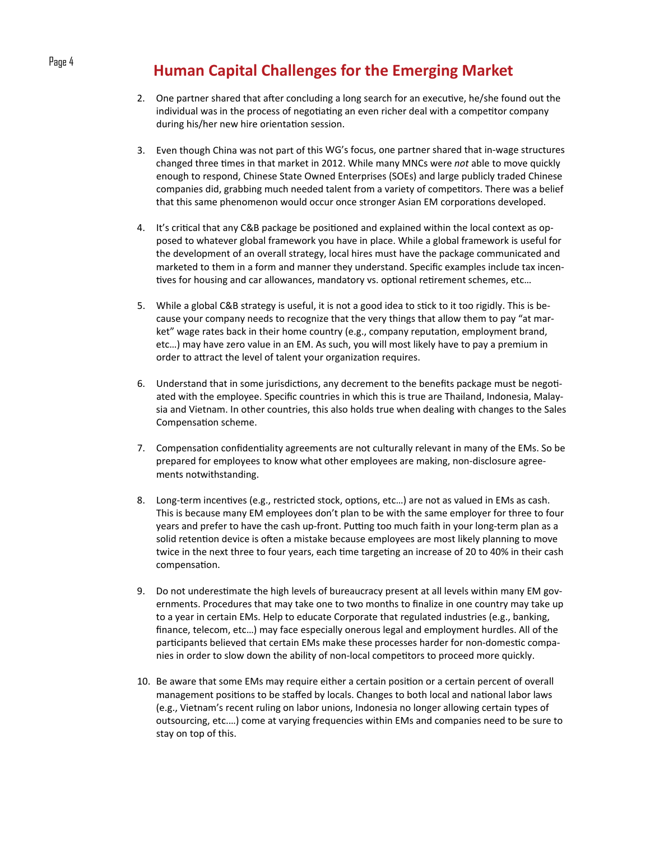## Page 4 **Human Capital Challenges for the Emerging Market**

- 2. One partner shared that after concluding a long search for an executive, he/she found out the individual was in the process of negotiating an even richer deal with a competitor company during his/her new hire orientation session.
- 3. Even though China was not part of this WG's focus, one partner shared that in-wage structures changed three times in that market in 2012. While many MNCs were *not* able to move quickly enough to respond, Chinese State Owned Enterprises (SOEs) and large publicly traded Chinese companies did, grabbing much needed talent from a variety of competitors. There was a belief that this same phenomenon would occur once stronger Asian EM corporations developed.
- 4. It's critical that any C&B package be positioned and explained within the local context as opposed to whatever global framework you have in place. While a global framework is useful for the development of an overall strategy, local hires must have the package communicated and marketed to them in a form and manner they understand. Specific examples include tax incentives for housing and car allowances, mandatory vs. optional retirement schemes, etc...
- 5. While a global C&B strategy is useful, it is not a good idea to stick to it too rigidly. This is because your company needs to recognize that the very things that allow them to pay "at mar‐ ket" wage rates back in their home country (e.g., company reputation, employment brand, etc…) may have zero value in an EM. As such, you will most likely have to pay a premium in order to attract the level of talent your organization requires.
- 6. Understand that in some jurisdictions, any decrement to the benefits package must be negotiated with the employee. Specific countries in which this is true are Thailand, Indonesia, Malay‐ sia and Vietnam. In other countries, this also holds true when dealing with changes to the Sales Compensation scheme.
- 7. Compensation confidentiality agreements are not culturally relevant in many of the EMs. So be prepared for employees to know what other employees are making, non‐disclosure agree‐ ments notwithstanding.
- 8. Long-term incentives (e.g., restricted stock, options, etc...) are not as valued in EMs as cash. This is because many EM employees don't plan to be with the same employer for three to four years and prefer to have the cash up-front. Putting too much faith in your long-term plan as a solid retention device is often a mistake because employees are most likely planning to move twice in the next three to four years, each time targeting an increase of 20 to 40% in their cash compensation.
- 9. Do not underestimate the high levels of bureaucracy present at all levels within many EM governments. Procedures that may take one to two months to finalize in one country may take up to a year in certain EMs. Help to educate Corporate that regulated industries (e.g., banking, finance, telecom, etc…) may face especially onerous legal and employment hurdles. All of the participants believed that certain EMs make these processes harder for non-domestic companies in order to slow down the ability of non-local competitors to proceed more quickly.
- 10. Be aware that some EMs may require either a certain position or a certain percent of overall management positions to be staffed by locals. Changes to both local and national labor laws (e.g., Vietnam's recent ruling on labor unions, Indonesia no longer allowing certain types of outsourcing, etc.…) come at varying frequencies within EMs and companies need to be sure to stay on top of this.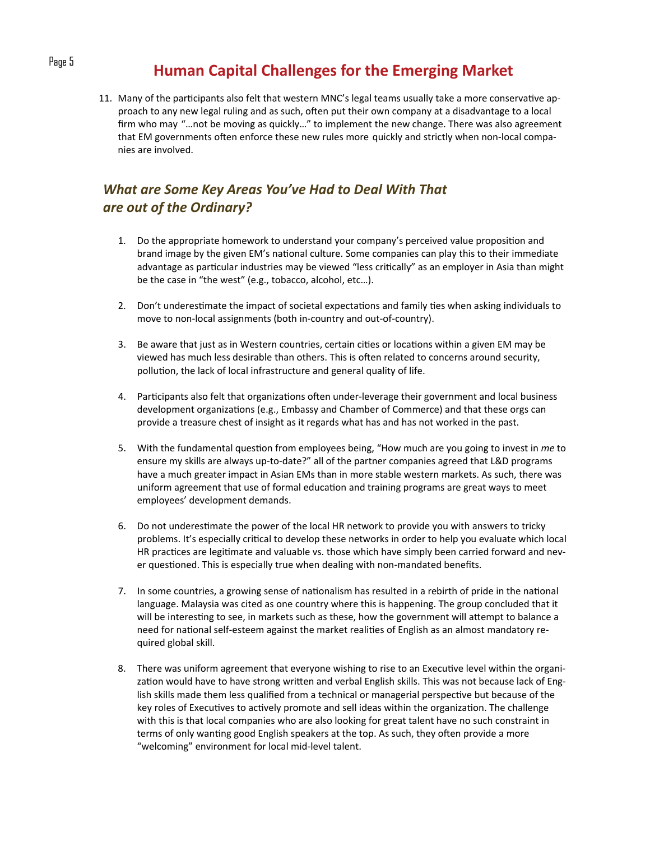## Page 5 **Human Capital Challenges for the Emerging Market**

11. Many of the participants also felt that western MNC's legal teams usually take a more conservative approach to any new legal ruling and as such, often put their own company at a disadvantage to a local firm who may "…not be moving as quickly…" to implement the new change. There was also agreement that EM governments often enforce these new rules more quickly and strictly when non-local companies are involved.

### *What are Some Key Areas You've Had to Deal With That are out of the Ordinary?*

- 1. Do the appropriate homework to understand your company's perceived value proposition and brand image by the given EM's national culture. Some companies can play this to their immediate advantage as particular industries may be viewed "less critically" as an employer in Asia than might be the case in "the west" (e.g., tobacco, alcohol, etc…).
- 2. Don't underestimate the impact of societal expectations and family ties when asking individuals to move to non‐local assignments (both in‐country and out‐of‐country).
- 3. Be aware that just as in Western countries, certain cities or locations within a given EM may be viewed has much less desirable than others. This is often related to concerns around security, pollution, the lack of local infrastructure and general quality of life.
- 4. Participants also felt that organizations often under-leverage their government and local business development organizations (e.g., Embassy and Chamber of Commerce) and that these orgs can provide a treasure chest of insight as it regards what has and has not worked in the past.
- 5. With the fundamental question from employees being, "How much are you going to invest in *me* to ensure my skills are always up-to-date?" all of the partner companies agreed that L&D programs have a much greater impact in Asian EMs than in more stable western markets. As such, there was uniform agreement that use of formal education and training programs are great ways to meet employees' development demands.
- 6. Do not underestimate the power of the local HR network to provide you with answers to tricky problems. It's especially critical to develop these networks in order to help you evaluate which local HR practices are legitimate and valuable vs. those which have simply been carried forward and never questioned. This is especially true when dealing with non-mandated benefits.
- 7. In some countries, a growing sense of nationalism has resulted in a rebirth of pride in the national language. Malaysia was cited as one country where this is happening. The group concluded that it will be interesting to see, in markets such as these, how the government will attempt to balance a need for national self-esteem against the market realities of English as an almost mandatory required global skill.
- 8. There was uniform agreement that everyone wishing to rise to an Executive level within the organization would have to have strong written and verbal English skills. This was not because lack of English skills made them less qualified from a technical or managerial perspective but because of the key roles of Executives to actively promote and sell ideas within the organization. The challenge with this is that local companies who are also looking for great talent have no such constraint in terms of only wanting good English speakers at the top. As such, they often provide a more "welcoming" environment for local mid‐level talent.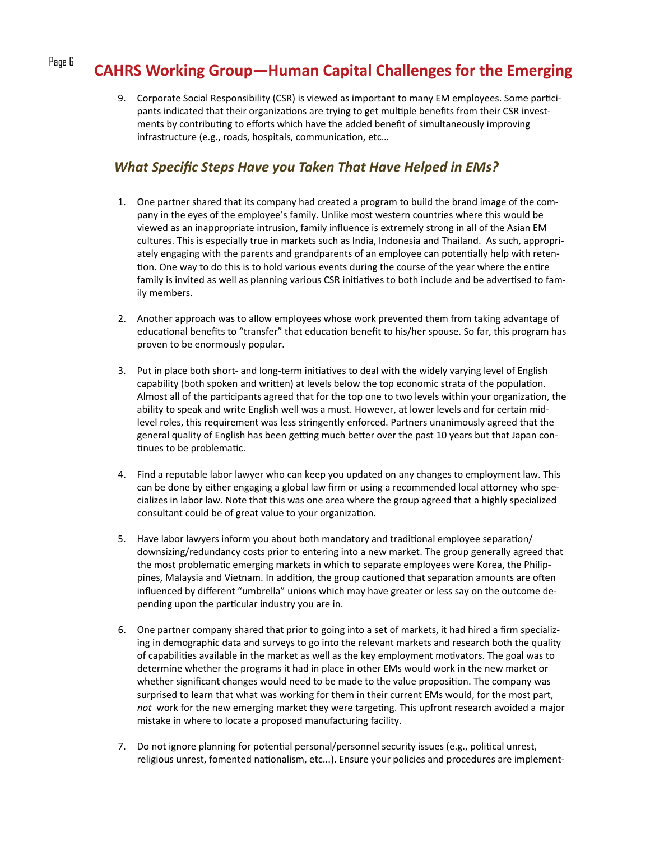# Page 6 **CAHRS Working Group—Human Capital Challenges for the Emerging**

9. Corporate Social Responsibility (CSR) is viewed as important to many EM employees. Some participants indicated that their organizations are trying to get multiple benefits from their CSR investments by contributing to efforts which have the added benefit of simultaneously improving infrastructure (e.g., roads, hospitals, communication, etc...

#### *What Specific Steps Have you Taken That Have Helped in EMs?*

- 1. One partner shared that its company had created a program to build the brand image of the com‐ pany in the eyes of the employee's family. Unlike most western countries where this would be viewed as an inappropriate intrusion, family influence is extremely strong in all of the Asian EM cultures. This is especially true in markets such as India, Indonesia and Thailand. As such, appropri‐ ately engaging with the parents and grandparents of an employee can potentially help with retention. One way to do this is to hold various events during the course of the year where the entire family is invited as well as planning various CSR initiatives to both include and be advertised to family members.
- 2. Another approach was to allow employees whose work prevented them from taking advantage of educational benefits to "transfer" that education benefit to his/her spouse. So far, this program has proven to be enormously popular.
- 3. Put in place both short- and long-term initiatives to deal with the widely varying level of English capability (both spoken and written) at levels below the top economic strata of the population. Almost all of the participants agreed that for the top one to two levels within your organization, the ability to speak and write English well was a must. However, at lower levels and for certain midlevel roles, this requirement was less stringently enforced. Partners unanimously agreed that the general quality of English has been getting much better over the past 10 years but that Japan continues to be problematic.
- 4. Find a reputable labor lawyer who can keep you updated on any changes to employment law. This can be done by either engaging a global law firm or using a recommended local attorney who specializes in labor law. Note that this was one area where the group agreed that a highly specialized consultant could be of great value to your organization.
- 5. Have labor lawyers inform you about both mandatory and traditional employee separation/ downsizing/redundancy costs prior to entering into a new market. The group generally agreed that the most problematic emerging markets in which to separate employees were Korea, the Philippines, Malaysia and Vietnam. In addition, the group cautioned that separation amounts are often influenced by different "umbrella" unions which may have greater or less say on the outcome de‐ pending upon the particular industry you are in.
- 6. One partner company shared that prior to going into a set of markets, it had hired a firm specializ‐ ing in demographic data and surveys to go into the relevant markets and research both the quality of capabilities available in the market as well as the key employment motivators. The goal was to determine whether the programs it had in place in other EMs would work in the new market or whether significant changes would need to be made to the value proposition. The company was surprised to learn that what was working for them in their current EMs would, for the most part, *not* work for the new emerging market they were targeting. This upfront research avoided a major mistake in where to locate a proposed manufacturing facility.
- 7. Do not ignore planning for potential personal/personnel security issues (e.g., political unrest, religious unrest, fomented nationalism, etc...). Ensure your policies and procedures are implement-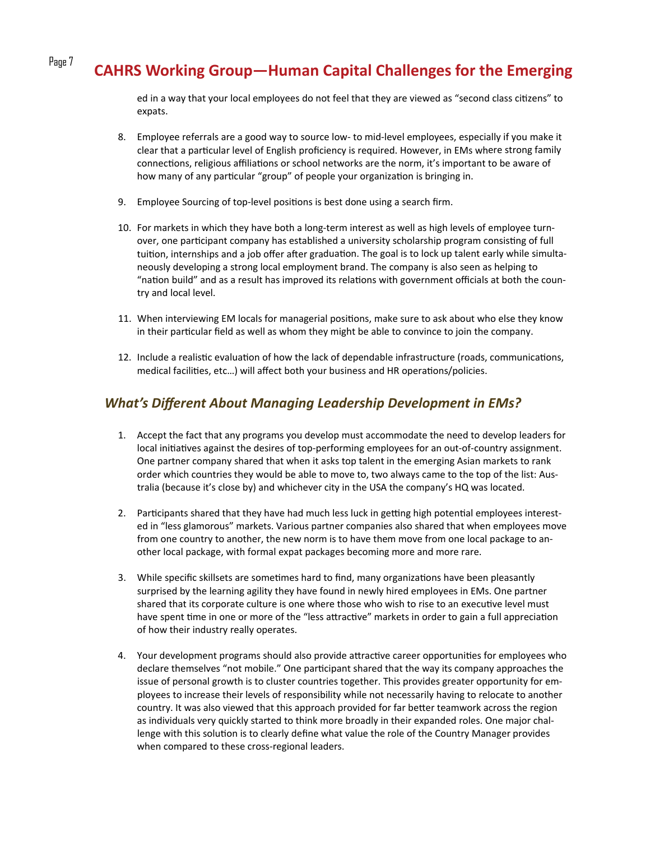# Page 7 **CAHRS Working Group—Human Capital Challenges for the Emerging**

ed in a way that your local employees do not feel that they are viewed as "second class citizens" to expats.

- 8. Employee referrals are a good way to source low‐ to mid‐level employees, especially if you make it clear that a particular level of English proficiency is required. However, in EMs where strong family connections, religious affiliations or school networks are the norm, it's important to be aware of how many of any particular "group" of people your organization is bringing in.
- 9. Employee Sourcing of top-level positions is best done using a search firm.
- 10. For markets in which they have both a long‐term interest as well as high levels of employee turn‐ over, one participant company has established a university scholarship program consisting of full tuition, internships and a job offer after graduation. The goal is to lock up talent early while simultaneously developing a strong local employment brand. The company is also seen as helping to "nation build" and as a result has improved its relations with government officials at both the country and local level.
- 11. When interviewing EM locals for managerial positions, make sure to ask about who else they know in their particular field as well as whom they might be able to convince to join the company.
- 12. Include a realistic evaluation of how the lack of dependable infrastructure (roads, communications, medical facilities, etc...) will affect both your business and HR operations/policies.

#### *What's Different About Managing Leadership Development in EMs?*

- 1. Accept the fact that any programs you develop must accommodate the need to develop leaders for local initiatives against the desires of top-performing employees for an out-of-country assignment. One partner company shared that when it asks top talent in the emerging Asian markets to rank order which countries they would be able to move to, two always came to the top of the list: Aus‐ tralia (because it's close by) and whichever city in the USA the company's HQ was located.
- 2. Participants shared that they have had much less luck in getting high potential employees interested in "less glamorous" markets. Various partner companies also shared that when employees move from one country to another, the new norm is to have them move from one local package to an‐ other local package, with formal expat packages becoming more and more rare.
- 3. While specific skillsets are sometimes hard to find, many organizations have been pleasantly surprised by the learning agility they have found in newly hired employees in EMs. One partner shared that its corporate culture is one where those who wish to rise to an executive level must have spent time in one or more of the "less attractive" markets in order to gain a full appreciation of how their industry really operates.
- 4. Your development programs should also provide attractive career opportunities for employees who declare themselves "not mobile." One participant shared that the way its company approaches the issue of personal growth is to cluster countries together. This provides greater opportunity for employees to increase their levels of responsibility while not necessarily having to relocate to another country. It was also viewed that this approach provided for far better teamwork across the region as individuals very quickly started to think more broadly in their expanded roles. One major challenge with this solution is to clearly define what value the role of the Country Manager provides when compared to these cross-regional leaders.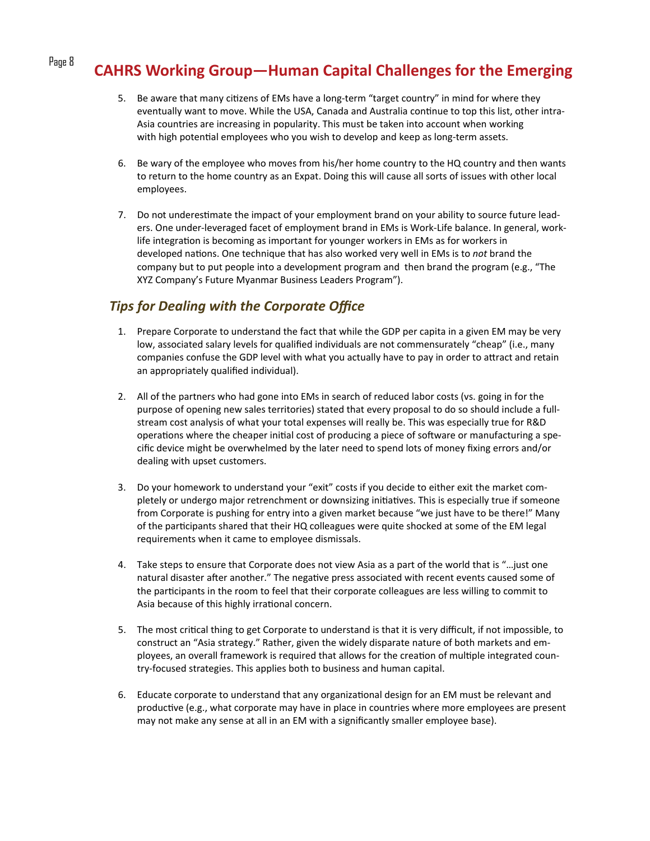# Page 8 **CAHRS Working Group—Human Capital Challenges for the Emerging**

- 5. Be aware that many citizens of EMs have a long-term "target country" in mind for where they eventually want to move. While the USA, Canada and Australia continue to top this list, other intra-Asia countries are increasing in popularity. This must be taken into account when working with high potential employees who you wish to develop and keep as long-term assets.
- 6. Be wary of the employee who moves from his/her home country to the HQ country and then wants to return to the home country as an Expat. Doing this will cause all sorts of issues with other local employees.
- 7. Do not underestimate the impact of your employment brand on your ability to source future leaders. One under‐leveraged facet of employment brand in EMs is Work‐Life balance. In general, work‐ life integration is becoming as important for younger workers in EMs as for workers in developed naƟons. One technique that has also worked very well in EMs is to *not* brand the company but to put people into a development program and then brand the program (e.g., "The XYZ Company's Future Myanmar Business Leaders Program").

### *Tips for Dealing with the Corporate Office*

- 1. Prepare Corporate to understand the fact that while the GDP per capita in a given EM may be very low, associated salary levels for qualified individuals are not commensurately "cheap" (i.e., many companies confuse the GDP level with what you actually have to pay in order to attract and retain an appropriately qualified individual).
- 2. All of the partners who had gone into EMs in search of reduced labor costs (vs. going in for the purpose of opening new sales territories) stated that every proposal to do so should include a full‐ stream cost analysis of what your total expenses will really be. This was especially true for R&D operations where the cheaper initial cost of producing a piece of software or manufacturing a specific device might be overwhelmed by the later need to spend lots of money fixing errors and/or dealing with upset customers.
- 3. Do your homework to understand your "exit" costs if you decide to either exit the market com‐ pletely or undergo major retrenchment or downsizing initiatives. This is especially true if someone from Corporate is pushing for entry into a given market because "we just have to be there!" Many of the participants shared that their HQ colleagues were quite shocked at some of the EM legal requirements when it came to employee dismissals.
- 4. Take steps to ensure that Corporate does not view Asia as a part of the world that is "…just one natural disaster after another." The negative press associated with recent events caused some of the participants in the room to feel that their corporate colleagues are less willing to commit to Asia because of this highly irrational concern.
- 5. The most critical thing to get Corporate to understand is that it is very difficult, if not impossible, to construct an "Asia strategy." Rather, given the widely disparate nature of both markets and em‐ ployees, an overall framework is required that allows for the creation of multiple integrated country‐focused strategies. This applies both to business and human capital.
- 6. Educate corporate to understand that any organizational design for an EM must be relevant and productive (e.g., what corporate may have in place in countries where more employees are present may not make any sense at all in an EM with a significantly smaller employee base).